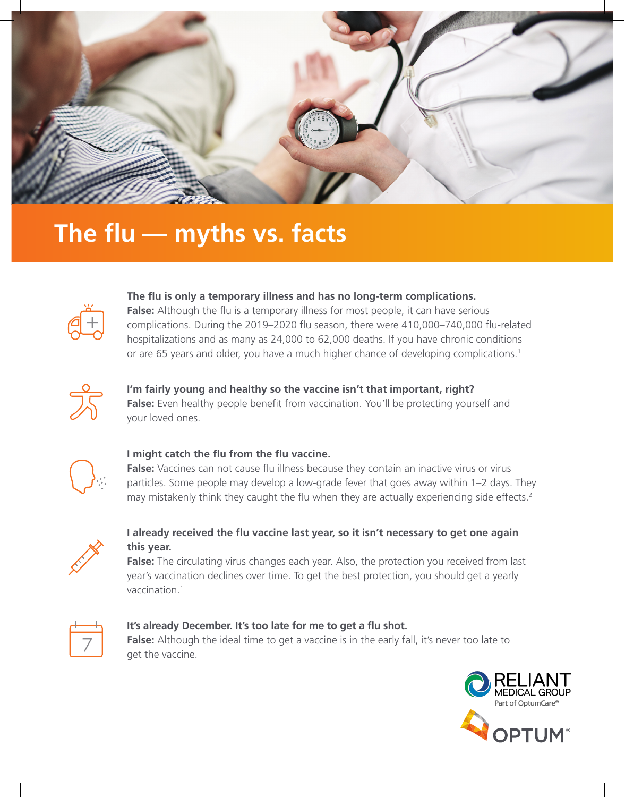

# **The flu — myths vs. facts**



### **The flu is only a temporary illness and has no long-term complications.**

**False:** Although the flu is a temporary illness for most people, it can have serious complications. During the 2019–2020 flu season, there were 410,000–740,000 flu-related hospitalizations and as many as 24,000 to 62,000 deaths. If you have chronic conditions or are 65 years and older, you have a much higher chance of developing complications.<sup>1</sup>

#### **I'm fairly young and healthy so the vaccine isn't that important, right?**

**False:** Even healthy people benefit from vaccination. You'll be protecting yourself and your loved ones.



#### **I might catch the flu from the flu vaccine.**

False: Vaccines can not cause flu illness because they contain an inactive virus or virus particles. Some people may develop a low-grade fever that goes away within 1–2 days. They may mistakenly think they caught the flu when they are actually experiencing side effects.<sup>2</sup>



## **I already received the flu vaccine last year, so it isn't necessary to get one again this year.**

**False:** The circulating virus changes each year. Also, the protection you received from last year's vaccination declines over time. To get the best protection, you should get a yearly vaccination.1



# **It's already December. It's too late for me to get a flu shot.**

**False:** Although the ideal time to get a vaccine is in the early fall, it's never too late to get the vaccine.